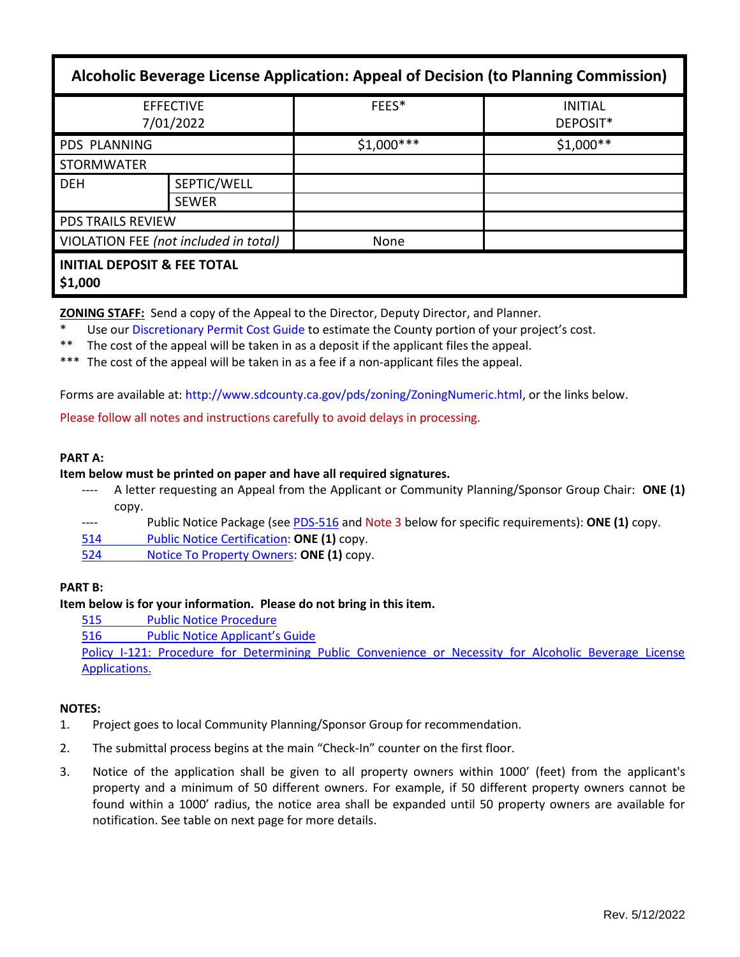| Alcoholic Beverage License Application: Appeal of Decision (to Planning Commission) |                             |             |                            |  |
|-------------------------------------------------------------------------------------|-----------------------------|-------------|----------------------------|--|
| <b>EFFECTIVE</b><br>7/01/2022                                                       |                             | FEES*       | <b>INITIAL</b><br>DEPOSIT* |  |
| <b>PDS PLANNING</b>                                                                 |                             | $$1,000***$ | $$1,000**$                 |  |
| <b>STORMWATER</b>                                                                   |                             |             |                            |  |
| <b>DEH</b>                                                                          | SEPTIC/WELL<br><b>SEWER</b> |             |                            |  |
| <b>PDS TRAILS REVIEW</b>                                                            |                             |             |                            |  |
| VIOLATION FEE (not included in total)                                               |                             | None        |                            |  |
| <b>INITIAL DEPOSIT &amp; FEE TOTAL</b><br>\$1,000                                   |                             |             |                            |  |

**ZONING STAFF:** Send a copy of the Appeal to the Director, Deputy Director, and Planner.

- Use our [Discretionary Permit Cost Guide](http://www.sandiegocounty.gov/content/dam/sdc/pds/docs/Discretionary_Permit_Cost_Guide.xlsx) to estimate the County portion of your project's cost.
- \*\* The cost of the appeal will be taken in as a deposit if the applicant files the appeal.
- \*\*\* The cost of the appeal will be taken in as a fee if a non-applicant files the appeal.

Forms are available at: [http://www.sdcounty.ca.gov/pds/zoning/ZoningNumeric.html,](http://www.sdcounty.ca.gov/pds/zoning/ZoningNumeric.html) or the links below.

Please follow all notes and instructions carefully to avoid delays in processing.

## **PART A:**

### **Item below must be printed on paper and have all required signatures.**

- A letter requesting an Appeal from the Applicant or Community Planning/Sponsor Group Chair: ONE (1) copy.
- ---- Public Notice Package (se[e PDS-516](https://www.sandiegocounty.gov/pds/zoning/formfields/PDS-PLN-516.pdf) and Note 3 below for specific requirements): **ONE (1)** copy.
- 514 [Public Notice Certification:](http://www.sdcounty.ca.gov/pds/zoning/formfields/PDS-PLN-514.pdf) **ONE (1)** copy.
- 524 [Notice To Property Owners:](http://www.sdcounty.ca.gov/pds/zoning/formfields/PDS-PLN-524.pdf) **ONE (1)** copy.

## **PART B:**

## **Item below is for your information. Please do not bring in this item.**

- [515 Public Notice Procedure](http://www.sdcounty.ca.gov/pds/zoning/formfields/PDS-PLN-515.pdf)
- 516 [Public Notice Applicant's Guide](http://www.sdcounty.ca.gov/pds/zoning/formfields/PDS-PLN-516.pdf)

[Policy I-121: Procedure for Determining Public Convenience or Necessity for Alcoholic Beverage License](http://www.sdcounty.ca.gov/cob/docs/policy/I-121.pdf)  [Applications.](http://www.sdcounty.ca.gov/cob/docs/policy/I-121.pdf)

## **NOTES:**

- 1. Project goes to local Community Planning/Sponsor Group for recommendation.
- 2. The submittal process begins at the main "Check-In" counter on the first floor.
- 3. Notice of the application shall be given to all property owners within 1000' (feet) from the applicant's property and a minimum of 50 different owners. For example, if 50 different property owners cannot be found within a 1000' radius, the notice area shall be expanded until 50 property owners are available for notification. See table on next page for more details.